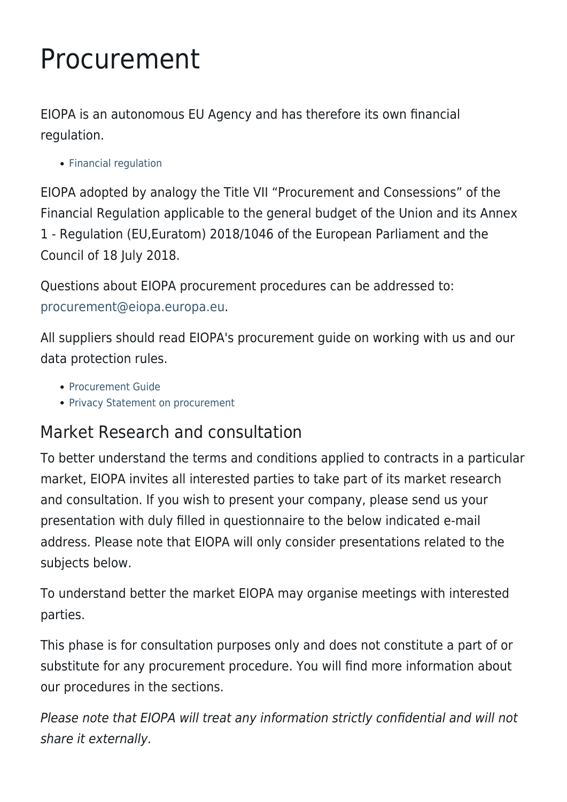# Procurement

EIOPA is an autonomous EU Agency and has therefore its own financial regulation.

• [Financial regulation](https://www.eiopa.europa.eu/sites/default/files/about/procurement/eiopa-financial-regulation-2019.pdf)

EIOPA adopted by analogy the Title VII "Procurement and Consessions" of the Financial Regulation applicable to the general budget of the Union and its Annex 1 - Regulation (EU,Euratom) 2018/1046 of the European Parliament and the Council of 18 July 2018.

Questions about EIOPA procurement procedures can be addressed to: [procurement@eiopa.europa.eu.](mailto:procurement@eiopa.europa.eu)

All suppliers should read EIOPA's procurement guide on working with us and our data protection rules.

- [Procurement Guide](https://www.eiopa.europa.eu/sites/default/files/about/procurement/eiopa-guide-procurement-2018.pdf)
- [Privacy Statement on procurement](https://www.eiopa.europa.eu/sites/default/files/about/procurement/privacy_statement_-_procurement_new_regulation.pdf)

## Market Research and consultation

To better understand the terms and conditions applied to contracts in a particular market, EIOPA invites all interested parties to take part of its market research and consultation. If you wish to present your company, please send us your presentation with duly filled in questionnaire to the below indicated e-mail address. Please note that EIOPA will only consider presentations related to the subjects below.

To understand better the market EIOPA may organise meetings with interested parties.

This phase is for consultation purposes only and does not constitute a part of or substitute for any procurement procedure. You will find more information about our procedures in the sections.

Please note that EIOPA will treat any information strictly confidential and will not share it externally.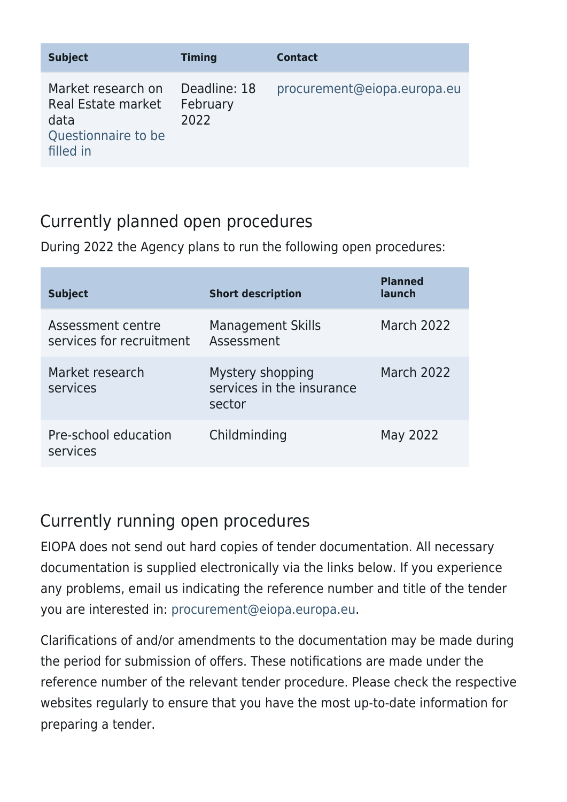| <b>Subject</b>                                                                       | <b>Timing</b>                    | <b>Contact</b>              |
|--------------------------------------------------------------------------------------|----------------------------------|-----------------------------|
| Market research on<br>Real Estate market<br>data<br>Questionnaire to be<br>filled in | Deadline: 18<br>February<br>2022 | procurement@eiopa.europa.eu |

### Currently planned open procedures

During 2022 the Agency plans to run the following open procedures:

| <b>Subject</b>                                | <b>Short description</b>                                | <b>Planned</b><br>launch |
|-----------------------------------------------|---------------------------------------------------------|--------------------------|
| Assessment centre<br>services for recruitment | <b>Management Skills</b><br>Assessment                  | <b>March 2022</b>        |
| Market research<br>services                   | Mystery shopping<br>services in the insurance<br>sector | <b>March 2022</b>        |
| Pre-school education<br>services              | Childminding                                            | May 2022                 |

### Currently running open procedures

EIOPA does not send out hard copies of tender documentation. All necessary documentation is supplied electronically via the links below. If you experience any problems, email us indicating the reference number and title of the tender you are interested in: [procurement@eiopa.europa.eu](mailto:procurement@eiopa.europa.eu).

Clarifications of and/or amendments to the documentation may be made during the period for submission of offers. These notifications are made under the reference number of the relevant tender procedure. Please check the respective websites regularly to ensure that you have the most up-to-date information for preparing a tender.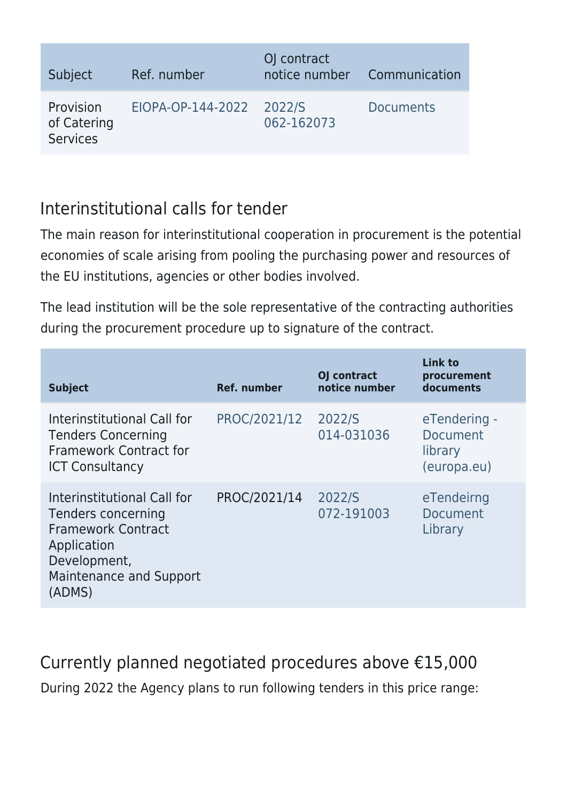| Subject                                     | Ref. number              | OJ contract<br>notice number | Communication    |
|---------------------------------------------|--------------------------|------------------------------|------------------|
| Provision<br>of Catering<br><b>Services</b> | EIOPA-OP-144-2022 2022/S | 062-162073                   | <b>Documents</b> |

#### Interinstitutional calls for tender

The main reason for interinstitutional cooperation in procurement is the potential economies of scale arising from pooling the purchasing power and resources of the EU institutions, agencies or other bodies involved.

The lead institution will be the sole representative of the contracting authorities during the procurement procedure up to signature of the contract.

| <b>Subject</b>                                                                                                                                     | <b>Ref. number</b> | OJ contract<br>notice number | Link to<br>procurement<br>documents                |
|----------------------------------------------------------------------------------------------------------------------------------------------------|--------------------|------------------------------|----------------------------------------------------|
| Interinstitutional Call for<br><b>Tenders Concerning</b><br><b>Framework Contract for</b><br><b>ICT Consultancy</b>                                | PROC/2021/12       | 2022/S<br>014-031036         | eTendering -<br>Document<br>library<br>(europa.eu) |
| Interinstitutional Call for<br>Tenders concerning<br><b>Framework Contract</b><br>Application<br>Development,<br>Maintenance and Support<br>(ADMS) | PROC/2021/14       | 2022/S<br>072-191003         | eTendeirng<br>Document<br>Library                  |

Currently planned negotiated procedures above €15,000

During 2022 the Agency plans to run following tenders in this price range: